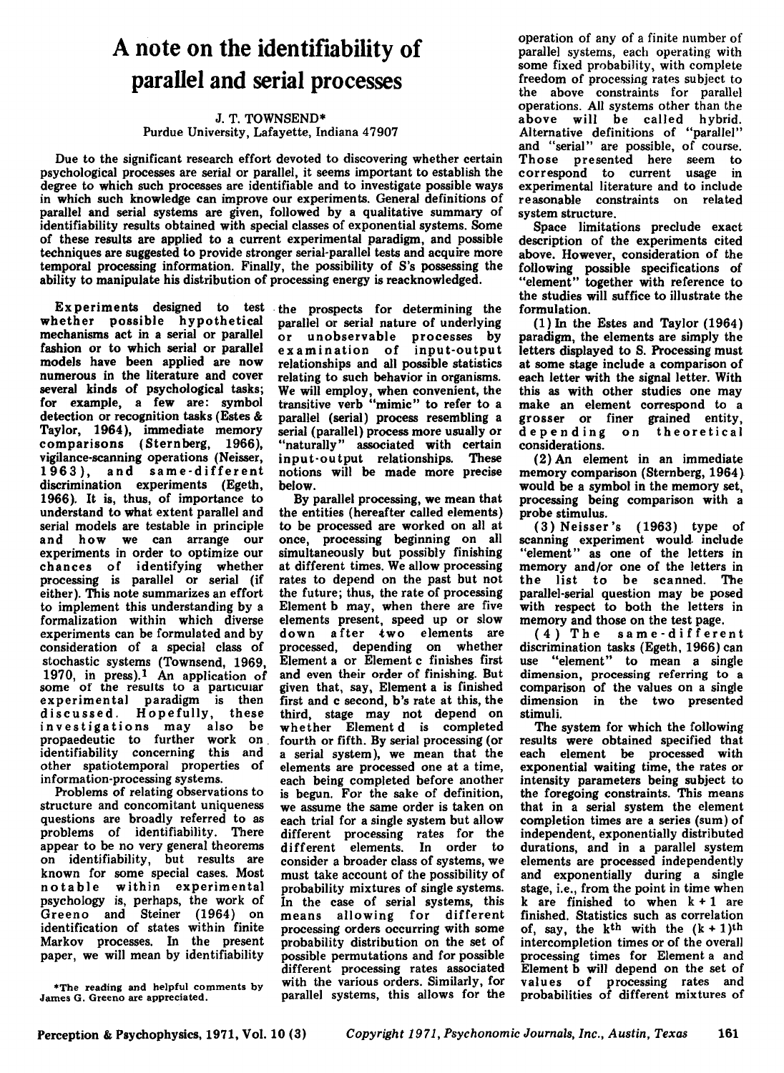## **A note on the identifiability of parallel and serial processes**

## J. T. TOWNSEND\* Purdue University, Lafayette, Indiana 47907

Due to the significant research effort devoted to discovering whether certain psychological processes are serial or parallel, it seems important to establish the degree to which such processes are identifiable and to investigate possible ways in which such knowledge can improve our experiments. General definitions of parallel and serial systems are given, followed by a qualitative summary of identifiability results obtained with special classes of exponential systems. Some of these results are applied to a current experimental paradigm, and possible techniques are suggested to provide stronger serial-parallel tests and acquire more temporal processing information. Finally, the possibility of S's possessing the ability to manipulate his distribution of processing energy is reacknowledged.

whether possible hypothetical mechanisms act in a serial or parallel fashion or to which serial or parallel models have been applied are now numerous in the literature and cover several kinds of psychological tasks; for example, a few are: symbol detection or recognition tasks (Estes & Taylor, 1964), immediate memory comparisons (Sternberg, 1966), vigilance-scanning operations (Neisser, 1963), and same-different discrimination experiments (Egeth, 1966). It is, thus, of importance to understand to what extent parallel and serial models are testable in principle and how we can arrange our experiments in order to optimize our chances of identifying whether processing is parallel or serial (if either). This note summarizes an effort to implement this understanding by a formalization within which diverse experiments can be formulated and by consideration of a special class of stochastic systems (Townsend, 1969, 1970, in press).<sup>1</sup> An application of some of the results to a particular experimental paradigm is then discussed. Hopefully, these investigations may also be propaedeutic to further work on. identifiability concerning this and other spatiotemporal properties of information-processing systems.

Problems of relating observations to structure and concomitant uniqueness questions are broadly referred to as problems of identifiability. There appear to be no very general theorems on identifiability, but results are known for some special cases. Most notable within experimental psychology is, perhaps, the work of Greeno and Steiner (1964) on identification of states within finite Markov processes. In the present paper, we will mean by identifiability

Experiments designed to test the prospects for determining the parallel or serial nature of underlying or unobservable processes by examination of input-output relationships and all possible statistics relating to such behavior in organisms. We will employ, when convenient, the transitive verb "mimic" to refer to a parallel (serial) process resembling a serial (parallel) process more usually or "naturally" associated with certain<br>input-output relationships. These input-output relationships. notions will be made more precise below.

By parallel processing, we mean that the entities (hereafter called elements) to be processed are worked on all at once, processing beginning on all simultaneously but possibly finishing at different times. We allow processing rates to depend on the past but not the future; thus, the rate of processing Element b may, when there are five elements present, speed up or slow down a fter two elements are processed, depending on whether Element a or Element c finishes first and even their order of finishing. But given that, say, Element a is finished first and c second, b's rate at this, the third, stage may not depend on whether Element d is completed fourth or fifth. By serial processing (or a serial system), we mean that the elements are processed one at a time, each being completed before another is begun. For the sake of definition, we assume the same order is taken on each trial for a single system but allow different processing rates for the different elements. In order to consider a broader class of systems, we must take account of the possibility of probability mixtures of single systems. In the case of serial systems, this means allowing for different processing orders occurring with some probability distribution on the set of possible permutations and for possible different processing rates associated with the various orders. Similarly, for parallel systems, this allows for the

operation of any of a finite number of parallel systems, each operating with some fixed probability, with complete freedom of processing rates subject to the above constraints for parallel operations. All systems other than the above will be called hybrid. Alternative definitions of "parallel" and "serial" are possible, of course. Those presented here seem to correspond to current usage in experimental literature and to include reasonable constraints on related system structure.

Space limitations preclude exact description of the experiments cited above. However, consideration of the following possible specifications of "element" together with reference to the studies wiU suffice to illustrate the formulation.

(1) In the Estes and Taylor (1964) paradigm, the elements are simply the letters displayed to S. Processing must at some stage include a comparison of each letter with the signal letter. With this as with other studies one may make an element correspond to a grosser or finer grained entity, depending on theoretical considerations.

(2) An element in an immediate memory comparison (Sternberg, 1964) would be a symbol in the memory set, processing being comparison with a probe stimulus.

(3) Neisser's (1963) type of scanning experiment would. include "element" as one of the letters in memory and/or one of the letters in the list to be scanned. The parallel-serial question may be posed with respect to both the letters in memory and those on the test page.

(4) The same-different discrimination tasks (Egeth, 1966) can use "element" to mean a single dimension, processing referring to a comparison of the values on a single dimension in the two presented stimuli.

The system for which the following results were obtained specified that each element be processed with exponential waiting time, the rates or intensity parameters being subject to the foregoing constraints. This means that in a serial system the element completion times are a series (sum) of independent, exponentially distributed durations, and in a parallel system elements are processed independently and exponentially during a single stage, i.e., from the point in time when k are finished to when  $k + 1$  are finished. Statistics such as correlation of, say, the k<sup>th</sup> with the  $(k + 1)$ <sup>th</sup> intercompletion times or of the overall processing times for Element a and Element b will depend on the set of values of processing rates and probabilities of different mixtures of

<sup>\*</sup>The reading and helpful comments by James G. Greeno are appreciated.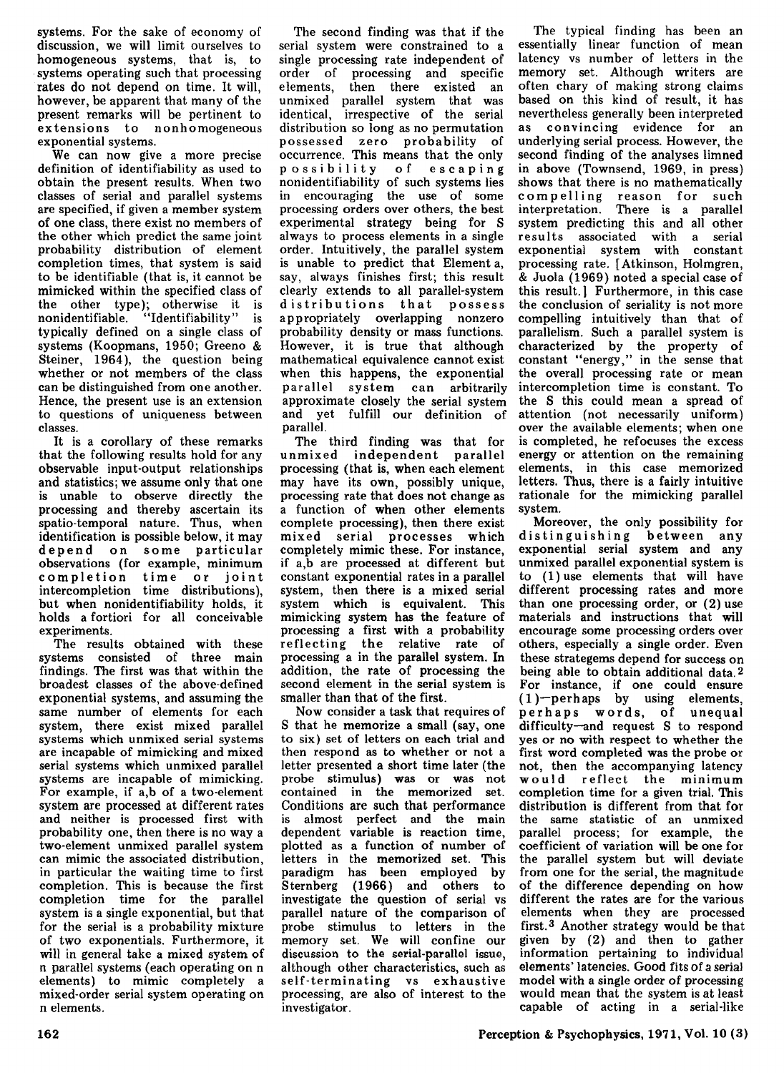systems. For the sake of economy of discussion, we will limit ourselves to homogeneous systems, that is, to systems operating such that processing rates do not depend on time. It will, however, be apparent that many of the present remarks will be pertinent to extensions to nonhomogeneous exponential systems.

We can now give a more precise definition of identifiability as used to obtain the present results. When two classes of serial and parallel systems are specified, if given a member system of one class, there exist no members of the other which predict the same joint probability distribution of element completion times, that system is said to be identifiable (that is, it cannot be mimicked within the specified class of the other type); otherwise it is nonidentifiable. "Identifiability" is typically defined on a single class of systems (Koopmans, 1950; Greeno & Steiner, 1964), the question being whether or not members of the class can be distinguished from one another. Hence, the present use is an extension to questions of uniqueness between classes.

It is a corollary of these remarks that the following results hold for any observable input-output relationships and statistics; we assume only that One is unable to observe directly the processing and thereby ascertain its spatio-temporal nature. Thus, when identification is possible below, it may depend on some particular observations (for example, minimum<br>completion time or joint completion time intercompletion time distributions), but when nonidentifiability holds, it holds a fortiori for all conceivable experiments.

The results obtained with these systems consisted of three main findings. The first was that within the broadest classes of the above-defined exponential systems, and assuming the same number of elements for each system, there exist mixed parallel systems which unmixed serial systems are incapable of mimicking and mixed serial systems which unmixed parallel systems are incapable of mimicking. For example, if a.b of a two-element system are processed at different rates and neither is processed first with probability one, then there is no way a two-element unmixed parallel system can mimic the associated distribution, in particular the waiting time to first completion. This is because the first completion time for the parallel system is a single exponential, but that for the serial is a probability mixture of two exponentials. Furthermore, it will in general take a mixed system of n parallel systems (each operating on n elements) to mimic completely a mixed-order serial system operating on n elements.

The second finding was that if the serial system were constrained to a single processing rate independent of order of processing and specific elements, then there existed an unmixed parallel system that was identical, irrespective of the serial distribution so long as no permutation possessed zero probability of occurrence. This means that the only possibility of escaping nonidentifiability of such systems lies in encouraging the use of some processing orders over others, the best experimental strategy being for S always to process elements in a single order. Intuitively, the parallel system is unable to predict that Element a, say, always finishes first; this result clearly extends to all parallel-system distributions that possess appropriately overlapping nonzero probability density or mass functions. However, it is true that although mathematical equivalence cannot exist when this happens, the exponential parallel system can arbitrarily approximate closely the serial system and yet fulfill our definition of parallel.

The third finding was that for unmixed independent parallel processing (that is, when each element may have its own, possibly unique, processing rate that does not change as a function of when other elements complete processing), then there exist mixed serial processes which completely mimic these. For instance, if a,b are processed at different but constant exponential rates in a parallel system, then there is a mixed serial system which is equivalent. This mimicking system has the feature of processing a first with a probability reflecting the relative rate of processing a in the parallel system. In addition, the rate of processing the second element in the serial system is smaller than that of the first.

Now consider a task that requires of S that he memorize a small (say, one to six) set of letters on each trial and then respond as to whether or not a letter presented a short time later (the probe stimulus) was or was not contained in the memorized set. Conditions are such that performance is almost perfect and the main dependent variable is reaction time, plotted as a function of number of letters in the memorized set. This paradigm has been employed by Sternberg (1966) and others to investigate the question of serial vs parallel nature of the comparison of probe stimulus to letters in the memory set. We will confine our discussion to the serial-parallel issue, although other characteristics, such as self-terminating vs exhaustive processing, are also of interest to the investigator.

The typical finding has been an essentially linear function of mean latency vs number of letters in the memory set. Although writers are often chary of making strong claims based on this kind of result, it has nevertheless generally been interpreted as convincing evidence for an underlying serial process. However, the second finding of the analyses limned in above (Townsend, 1969, in press) shows that there is no mathematically compelling reason for such interpretation. There is a parallel system predicting this and all other results associated with a serial exponential system with constant processing rate. [Atkinson, Holmgren, & Juola (1969) noted a special case of this result.] Furthermore, in this case the conclusion of seriality is not more compelling intuitively than that of parallelism. Such a parallel system is characterized by the property of constant "energy," in the sense that the overall processing rate or mean intercompletion time is constant. To the S this could mean a spread of attention (not necessarily uniform) over the available elements; when one is completed, he refocuses the excess energy or attention on the remaining elements, in this case memorized letters. Thus, there is a fairly intuitive rationale for the mimicking parallel system.

Moreover, the only possibility for distinguishing between any exponential serial system and any unmixed parallel exponential system is to (1) use elements that will have different processing rates and more than one processing order, or (2) use materials and instructions that will encourage some processing orders over others, especially a single order. Even these strategems depend for success on being able to obtain additional data. 2 For instance, if one could ensure  $(1)$ -perhaps by using elements, perhaps words, of unequal difficulty-and request S to respond yes or no with respect to whether the first word completed was the probe or not, then the accompanying latency would reflect the minimum completion time for a given trial. This distribution is different from that for the same statistic of an unmixed parallel process; for example, the coefficient of variation will be one for the parallel system but will deviate from one for the serial, the magnitude of the difference depending on how different the rates are for the various elements when they are processed first. 3 Another strategy would be that given by (2) and then to gather information pertaining to individual elements' latencies. Good fits of a serial model with a single order of processing would mean that the system is at least capable of acting in a serial-like